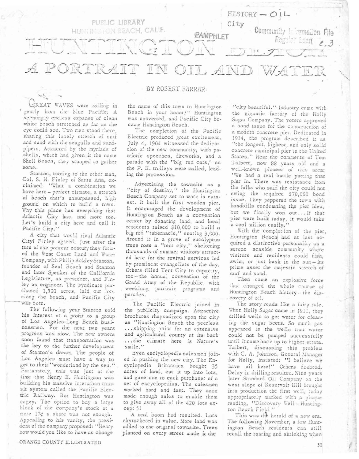

CREAT WAVES were rolling in gently from the blue Pacific: A seemingly endless expanse of clean white beach stretched as far as the eye could see. Two men stood there, sharing this lonely stretch of surf and sand with the seagulls and sandpipers. Attracted by the myriads of shells, which had given it the name Shell Beach, they stooped to gather some.

Stanton, turning to the other man, Col. S. H. Finley of Santa Ana, exclaimed: "What a combination we have here - perfect climate, a stretch of beach that's unsurpassed, high ground on which to build a town. Why this place has everything that Atlantic City has, and more too. Let's build a city here and call it Pacific City."

A city that would rival Atlantic City! Finley agreed. Just after the turn of the present century they formed the West Coast Land and Water Company, with Philip Ackley Stanton, founder of Seal Beach and Stanton and later Speaker of the California Legislature, as president, and Fin-<br>ley as engineer. The syndicate purchased 1,500 acres, laid out lots along the beach, and Pacific City was born.

The following year Stanton sold his interest at a profit to a group of Los Angeles-Long Beach businessmen. For the next two years<br>progress was slow. The new owners soon found that transportation was the key to the further development of Stanton's dream. The people of Los Angeles must have a way to get to their "wonderland by the sea.". Fortunately, this was just at the time that Henry E. Huntington was building his massive interurban transit system called the Pacific Electric Railway. But Huntington was cagey. The option to buy a large block of the company's stock at a mere 17¢ a share was not enough. Appealing to his vanity, the president of the company proposed: "Henry how would you like to have us change

## BY ROBERT FARRAR

the name of this town to Huntington Beach in your honor?" Huntington was converted, and Pacific City became Huntington Beach.

The completion of the Pacific Electric produced great excitement. July 4, 1904 witnessed the dedication of the new community, with patriotic speeches, fireworks, and a parade with the "big red cars," as the P. E. trolleys were called, leading the procession.

Advertising the townsite as a "city of destiny," the Huntington Beach Cempany set to work in earnest. It built the first wooden pier. It encouraged the development of Huntington Beach as a convention center by donating land, and local residents raised \$10,000 to build a big red "tabernacle," seating 3,000. Around it in a grove of eucalyptus trees rose a "tent city," sheltering thousands of summer visitors attracted here for the revival services led by prominent evangelists of the day. Others filled Tent City to capacity, too-the annual convention of the Grand Army of the Republic, with weeklong patriotic programs and parades.

The Pacific Electric joined in the publicity campaign. Attractive brochures rhapsodized upon the city as "Huntington Beach the peerless ... shipping point for an extensive and agricultural county at its back ... the climate here is Nature's smile.'

Even enclyclopedia salesmen joined in pushing the new city. The Encyclopedia Britannica bought 35 acres of land, cut it up into lots. and gave one to each purchaser of a set of encyclopedias. The salesmen worked hard and fast. They soon made enough sales to enable them to give away all of the 420 lots except 5!

A real boom had resulted. Lots skyrocketed in value. More land was added to the original townsite. Trees planted on every street made it the

"city beautiful." Industry came with the gigantic factory of the Holly Sugar Company. The voters approved a bond issue for the construction of a modern concrete pier. Dedicated in 1914, the program described it as "the longest, highest, and only solid concrete municipal pier in the United States." Hear the comments of Tom Talbert, now 88 years old and a well-known pioneer of this area: "We had a real battle putting that pier in. There was resistance from the folks who said the city could not swing the required \$70,000 bond issue. They peppered the town with handbills condemning the pier idea, but we finally won out... If that pier were built today, it would take a cool million easily."

With the completion of the pier. Huntington Beach had at last acquired a distinctive personality as a serene seaside community where visitors and residents could fish, swim, or just bask in the sun-its prime asset the majestic stretch of surf and sand.

Then came an explosive force that changed the whole course of Huntington Beach history-the discovery of oil.

The story reads like a fairy tale. When Holly Sugar came in 1911, they drilled wells to get water for cleaning the sugar beets. So much gas appeared in the wells that water could not be pumped successfully until it came back up to higher strata. Talbert, discussing this problem with C. A. Johnson, General Manager for Holly, insisted: "I believe we have oil here!" Others doubted. Delay in drilling resulted. Nine years later Standard Oil Company on the west slope of Reservoir Hill brought into production the first well, today appropriately marked with a plaque reading, "Discovery Well-Huntington Beach Field."

This was the herald of a new era. The following November, a few Huntington Beach résidents can still recall the roaring and shrieking when

31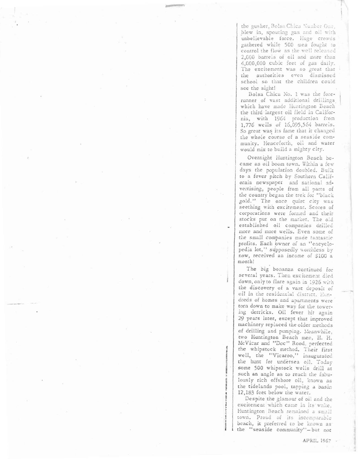the gusher, Bolsa Chica Number One, blew in, spouting gas and oil with unbelievable force. Huge crowds gathered while 500 men fought to control the flow as the well released 2,000 barrels of oil and more than 4,000,000 cubic feet of gas daily. The excitement was so great that the authorities even dismissed school so that the children could see the sight!

Bolsa Chica No. 1 was the forerunner of vast additional drillings which have made Huntington Beach the third largest oil field in California, with 1964 production from 1,776 wells of 16,095,564 barrels. So great was its fame that it changed the whole course of a seaside community. Henceforth, oil and water would mix to build a mighty city.

Overnight Huntington Beach became an oil boom town. Within a few days the population doubled. Built to a fever pitch by Southern California newspaper and national advertising, people from all parts of the country began the trek for "black gold." The once quiet city was seething with excitement. Scores of corporations were formed and their stocks put on the market. The old established oil companies drilled more and more wells. Even some of the small companies made tantastic profits. Each owner of an "encyclopedia lot," supposedly worthless by now, received an income of \$100 a month!

The big bonanza continued for several years. Then excitement died down, only to flare again in 1926 with the discovery of a vast deposit of oil in the residential district. Hundreds of homes and apartments were torn down to make way for the towering derricks. Oil fever hit again 29 years later, except that improved machinery replaced the older methods of drilling and pumping. Meanwhile, two Huntington Beach men, H. H. McVicar and "Doc" Rood, perfected the whipstock method. Their first well, the "Vicaroo," inaugurated the hunt for undersea oil. Today some 500 whipstock wells drill at such an angle as to reach the fabulously rich offshore oil, known as the tidelands pool, tapping a basin 12,183 feet below the water.

Despite the glamour of oil and the excitement which came in its wake, Huntington Beach remained a small town. Proud of its incomparable beach, it preferred to be known as the "seaside community"-but not